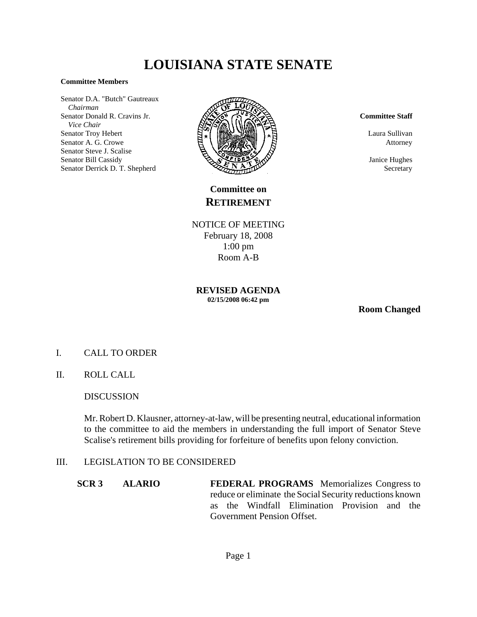# **LOUISIANA STATE SENATE**

#### **Committee Members**

Senator D.A. "Butch" Gautreaux  *Chairman* Senator Donald R. Cravins Jr.  *Vice Chair* Senator Troy Hebert Senator A. G. Crowe Senator Steve J. Scalise Senator Bill Cassidy Senator Derrick D. T. Shepherd



**Committee on RETIREMENT**

NOTICE OF MEETING February 18, 2008 1:00 pm Room A-B

**REVISED AGENDA 02/15/2008 06:42 pm**

**Room Changed**

- I. CALL TO ORDER
- II. ROLL CALL

## DISCUSSION

Mr. Robert D. Klausner, attorney-at-law, will be presenting neutral, educational information to the committee to aid the members in understanding the full import of Senator Steve Scalise's retirement bills providing for forfeiture of benefits upon felony conviction.

## III. LEGISLATION TO BE CONSIDERED

**SCR 3 ALARIO FEDERAL PROGRAMS** Memorializes Congress to reduce or eliminate the Social Security reductions known as the Windfall Elimination Provision and the Government Pension Offset.

#### **Committee Staff**

Laura Sullivan Attorney

Janice Hughes Secretary